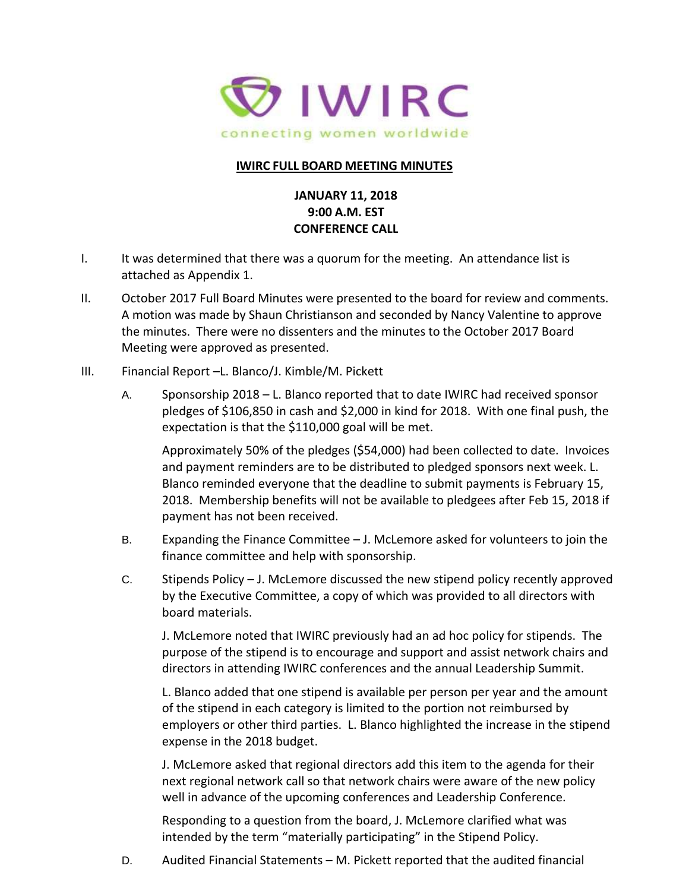

## **IWIRC FULL BOARD MEETING MINUTES**

## **JANUARY 11, 2018 9:00 A.M. EST CONFERENCE CALL**

- I. It was determined that there was a quorum for the meeting. An attendance list is attached as Appendix 1.
- II. October 2017 Full Board Minutes were presented to the board for review and comments. A motion was made by Shaun Christianson and seconded by Nancy Valentine to approve the minutes. There were no dissenters and the minutes to the October 2017 Board Meeting were approved as presented.
- III. Financial Report –L. Blanco/J. Kimble/M. Pickett
	- A. Sponsorship 2018 L. Blanco reported that to date IWIRC had received sponsor pledges of \$106,850 in cash and \$2,000 in kind for 2018. With one final push, the expectation is that the \$110,000 goal will be met.

Approximately 50% of the pledges (\$54,000) had been collected to date. Invoices and payment reminders are to be distributed to pledged sponsors next week. L. Blanco reminded everyone that the deadline to submit payments is February 15, 2018. Membership benefits will not be available to pledgees after Feb 15, 2018 if payment has not been received.

- B. Expanding the Finance Committee J. McLemore asked for volunteers to join the finance committee and help with sponsorship.
- C. Stipends Policy J. McLemore discussed the new stipend policy recently approved by the Executive Committee, a copy of which was provided to all directors with board materials.

J. McLemore noted that IWIRC previously had an ad hoc policy for stipends. The purpose of the stipend is to encourage and support and assist network chairs and directors in attending IWIRC conferences and the annual Leadership Summit.

L. Blanco added that one stipend is available per person per year and the amount of the stipend in each category is limited to the portion not reimbursed by employers or other third parties. L. Blanco highlighted the increase in the stipend expense in the 2018 budget.

J. McLemore asked that regional directors add this item to the agenda for their next regional network call so that network chairs were aware of the new policy well in advance of the upcoming conferences and Leadership Conference.

Responding to a question from the board, J. McLemore clarified what was intended by the term "materially participating" in the Stipend Policy.

D. Audited Financial Statements – M. Pickett reported that the audited financial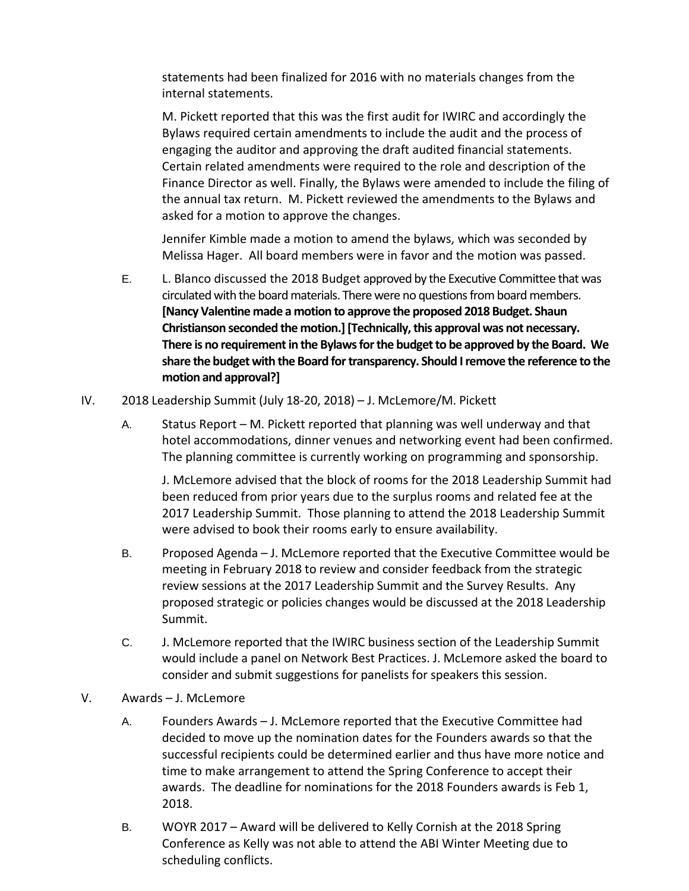statements had been finalized for 2016 with no materials changes from the internal statements.

M. Pickett reported that this was the first audit for IWIRC and accordingly the Bylaws required certain amendments to include the audit and the process of engaging the auditor and approving the draft audited financial statements. Certain related amendments were required to the role and description of the Finance Director as well. Finally, the Bylaws were amended to include the filing of the annual tax return. M. Pickett reviewed the amendments to the Bylaws and asked for a motion to approve the changes.

Jennifer Kimble made a motion to amend the bylaws, which was seconded by Melissa Hager. All board members were in favor and the motion was passed.

- E. L. Blanco discussed the 2018 Budget approved by the Executive Committee that was circulated with the board materials. There were no questionsfrom board members. **[Nancy Valentine made a motion to approve the proposed 2018 Budget. Shaun Christianson seconded the motion.] [Technically, this approval was not necessary. There is no requirement in the Bylaws for the budget to be approved by the Board. We share the budget with the Board for transparency. Should I remove the reference to the motion and approval?]**
- IV. 2018 Leadership Summit (July 18-20, 2018) J. McLemore/M. Pickett
	- A. Status Report M. Pickett reported that planning was well underway and that hotel accommodations, dinner venues and networking event had been confirmed. The planning committee is currently working on programming and sponsorship.

J. McLemore advised that the block of rooms for the 2018 Leadership Summit had been reduced from prior years due to the surplus rooms and related fee at the 2017 Leadership Summit. Those planning to attend the 2018 Leadership Summit were advised to book their rooms early to ensure availability.

- B. Proposed Agenda J. McLemore reported that the Executive Committee would be meeting in February 2018 to review and consider feedback from the strategic review sessions at the 2017 Leadership Summit and the Survey Results. Any proposed strategic or policies changes would be discussed at the 2018 Leadership Summit.
- C. J. McLemore reported that the IWIRC business section of the Leadership Summit would include a panel on Network Best Practices. J. McLemore asked the board to consider and submit suggestions for panelists for speakers this session.

## V. Awards – J. McLemore

- A. Founders Awards J. McLemore reported that the Executive Committee had decided to move up the nomination dates for the Founders awards so that the successful recipients could be determined earlier and thus have more notice and time to make arrangement to attend the Spring Conference to accept their awards. The deadline for nominations for the 2018 Founders awards is Feb 1, 2018.
- B. WOYR 2017 Award will be delivered to Kelly Cornish at the 2018 Spring Conference as Kelly was not able to attend the ABI Winter Meeting due to scheduling conflicts.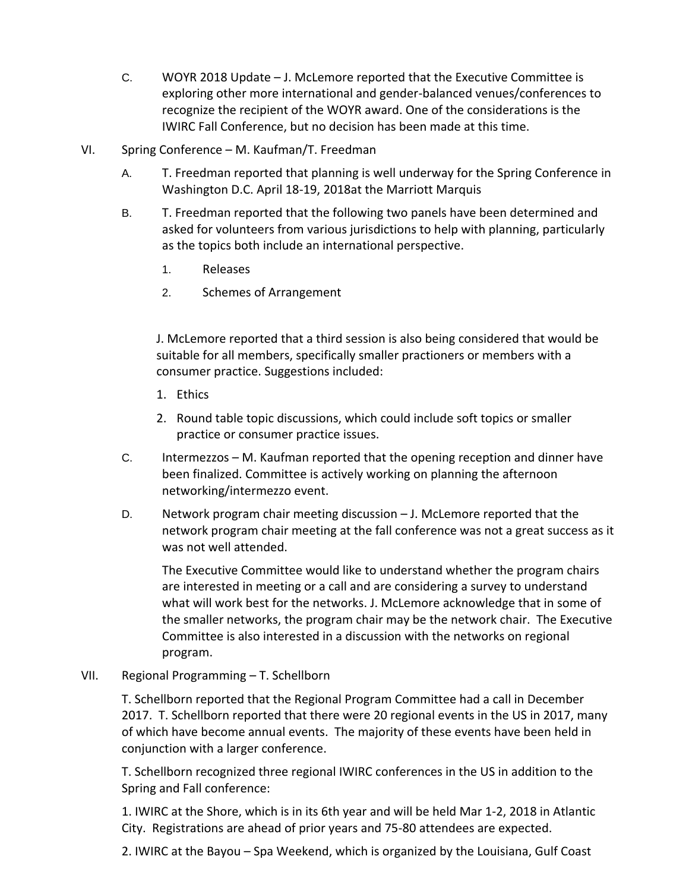- C. WOYR 2018 Update J. McLemore reported that the Executive Committee is exploring other more international and gender-balanced venues/conferences to recognize the recipient of the WOYR award. One of the considerations is the IWIRC Fall Conference, but no decision has been made at this time.
- VI. Spring Conference M. Kaufman/T. Freedman
	- A. T. Freedman reported that planning is well underway for the Spring Conference in Washington D.C. April 18-19, 2018at the Marriott Marquis
	- B. T. Freedman reported that the following two panels have been determined and asked for volunteers from various jurisdictions to help with planning, particularly as the topics both include an international perspective.
		- 1. Releases
		- 2. Schemes of Arrangement

J. McLemore reported that a third session is also being considered that would be suitable for all members, specifically smaller practioners or members with a consumer practice. Suggestions included:

- 1. Ethics
- 2. Round table topic discussions, which could include soft topics or smaller practice or consumer practice issues.
- C. Intermezzos M. Kaufman reported that the opening reception and dinner have been finalized. Committee is actively working on planning the afternoon networking/intermezzo event.
- D. Network program chair meeting discussion J. McLemore reported that the network program chair meeting at the fall conference was not a great success as it was not well attended.

The Executive Committee would like to understand whether the program chairs are interested in meeting or a call and are considering a survey to understand what will work best for the networks. J. McLemore acknowledge that in some of the smaller networks, the program chair may be the network chair. The Executive Committee is also interested in a discussion with the networks on regional program.

VII. Regional Programming – T. Schellborn

T. Schellborn reported that the Regional Program Committee had a call in December 2017. T. Schellborn reported that there were 20 regional events in the US in 2017, many of which have become annual events. The majority of these events have been held in conjunction with a larger conference.

T. Schellborn recognized three regional IWIRC conferences in the US in addition to the Spring and Fall conference:

1. IWIRC at the Shore, which is in its 6th year and will be held Mar 1-2, 2018 in Atlantic City. Registrations are ahead of prior years and 75-80 attendees are expected.

2. IWIRC at the Bayou – Spa Weekend, which is organized by the Louisiana, Gulf Coast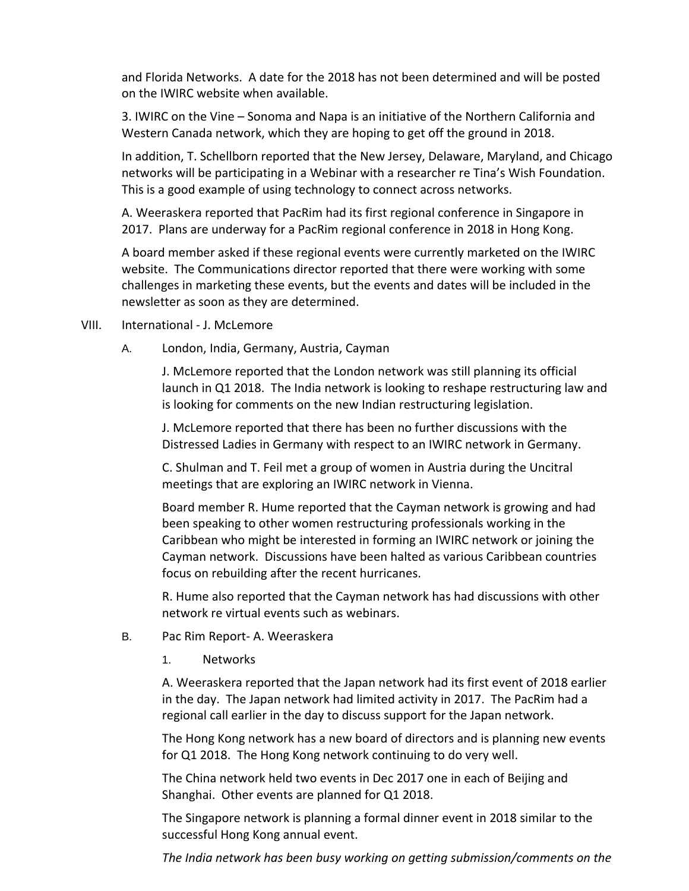and Florida Networks. A date for the 2018 has not been determined and will be posted on the IWIRC website when available.

3. IWIRC on the Vine – Sonoma and Napa is an initiative of the Northern California and Western Canada network, which they are hoping to get off the ground in 2018.

In addition, T. Schellborn reported that the New Jersey, Delaware, Maryland, and Chicago networks will be participating in a Webinar with a researcher re Tina's Wish Foundation. This is a good example of using technology to connect across networks.

A. Weeraskera reported that PacRim had its first regional conference in Singapore in 2017. Plans are underway for a PacRim regional conference in 2018 in Hong Kong.

A board member asked if these regional events were currently marketed on the IWIRC website. The Communications director reported that there were working with some challenges in marketing these events, but the events and dates will be included in the newsletter as soon as they are determined.

- VIII. International J. McLemore
	- A. London, India, Germany, Austria, Cayman

J. McLemore reported that the London network was still planning its official launch in Q1 2018. The India network is looking to reshape restructuring law and is looking for comments on the new Indian restructuring legislation.

J. McLemore reported that there has been no further discussions with the Distressed Ladies in Germany with respect to an IWIRC network in Germany.

C. Shulman and T. Feil met a group of women in Austria during the Uncitral meetings that are exploring an IWIRC network in Vienna.

Board member R. Hume reported that the Cayman network is growing and had been speaking to other women restructuring professionals working in the Caribbean who might be interested in forming an IWIRC network or joining the Cayman network. Discussions have been halted as various Caribbean countries focus on rebuilding after the recent hurricanes.

R. Hume also reported that the Cayman network has had discussions with other network re virtual events such as webinars.

- B. Pac Rim Report- A. Weeraskera
	- 1. Networks

A. Weeraskera reported that the Japan network had its first event of 2018 earlier in the day. The Japan network had limited activity in 2017. The PacRim had a regional call earlier in the day to discuss support for the Japan network.

The Hong Kong network has a new board of directors and is planning new events for Q1 2018. The Hong Kong network continuing to do very well.

The China network held two events in Dec 2017 one in each of Beijing and Shanghai. Other events are planned for Q1 2018.

The Singapore network is planning a formal dinner event in 2018 similar to the successful Hong Kong annual event.

*The India network has been busy working on getting submission/comments on the*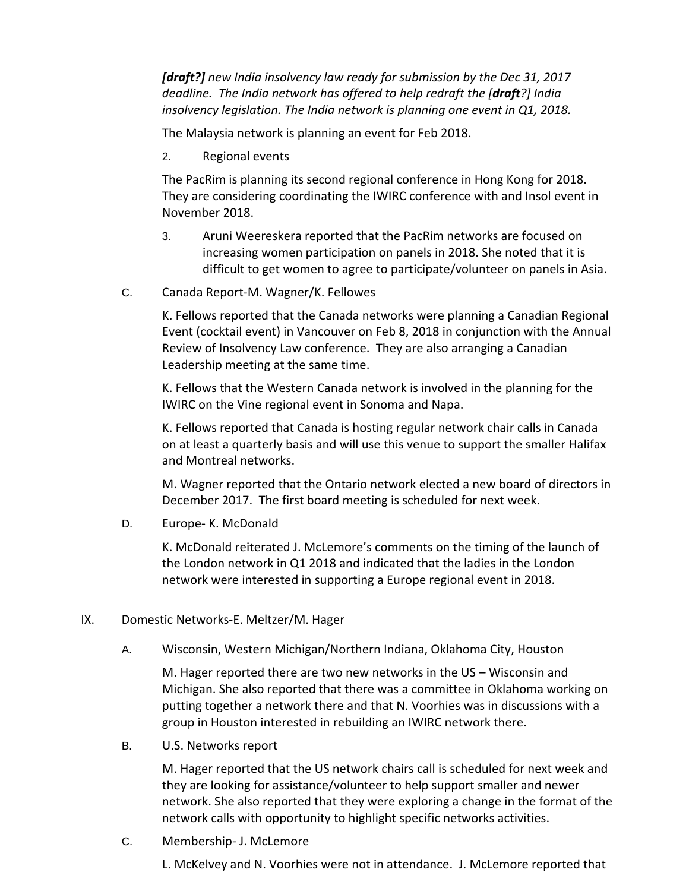*[draft?] new India insolvency law ready for submission by the Dec 31, 2017 deadline. The India network has offered to help redraft the [draft?] India insolvency legislation. The India network is planning one event in Q1, 2018.*

The Malaysia network is planning an event for Feb 2018.

2. Regional events

The PacRim is planning its second regional conference in Hong Kong for 2018. They are considering coordinating the IWIRC conference with and Insol event in November 2018.

- 3. Aruni Weereskera reported that the PacRim networks are focused on increasing women participation on panels in 2018. She noted that it is difficult to get women to agree to participate/volunteer on panels in Asia.
- C. Canada Report-M. Wagner/K. Fellowes

K. Fellows reported that the Canada networks were planning a Canadian Regional Event (cocktail event) in Vancouver on Feb 8, 2018 in conjunction with the Annual Review of Insolvency Law conference. They are also arranging a Canadian Leadership meeting at the same time.

K. Fellows that the Western Canada network is involved in the planning for the IWIRC on the Vine regional event in Sonoma and Napa.

K. Fellows reported that Canada is hosting regular network chair calls in Canada on at least a quarterly basis and will use this venue to support the smaller Halifax and Montreal networks.

M. Wagner reported that the Ontario network elected a new board of directors in December 2017. The first board meeting is scheduled for next week.

D. Europe- K. McDonald

K. McDonald reiterated J. McLemore's comments on the timing of the launch of the London network in Q1 2018 and indicated that the ladies in the London network were interested in supporting a Europe regional event in 2018.

- IX. Domestic Networks-E. Meltzer/M. Hager
	- A. Wisconsin, Western Michigan/Northern Indiana, Oklahoma City, Houston

M. Hager reported there are two new networks in the US – Wisconsin and Michigan. She also reported that there was a committee in Oklahoma working on putting together a network there and that N. Voorhies was in discussions with a group in Houston interested in rebuilding an IWIRC network there.

B. U.S. Networks report

M. Hager reported that the US network chairs call is scheduled for next week and they are looking for assistance/volunteer to help support smaller and newer network. She also reported that they were exploring a change in the format of the network calls with opportunity to highlight specific networks activities.

C. Membership- J. McLemore

L. McKelvey and N. Voorhies were not in attendance. J. McLemore reported that